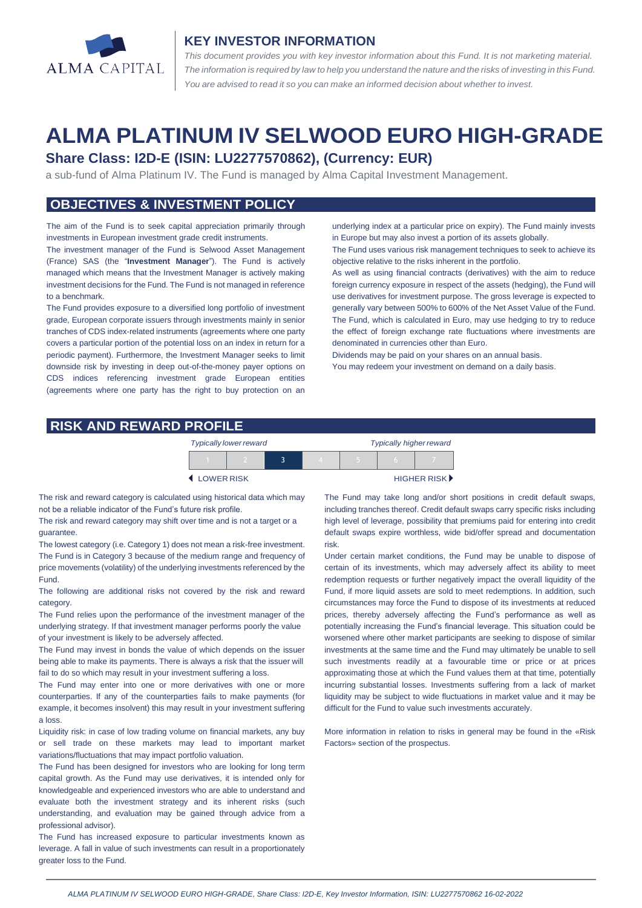

#### **KEY INVESTOR INFORMATION**

*This document provides you with key investor information about this Fund. It is not marketing material.*  The information is required by law to help you understand the nature and the risks of investing in this Fund. *You are advised to read it so you can make an informed decision about whether to invest.*

# **ALMA PLATINUM IV SELWOOD EURO HIGH-GRADE**

## **Share Class: I2D-E (ISIN: LU2277570862), (Currency: EUR)**

a sub-fund of Alma Platinum IV. The Fund is managed by Alma Capital Investment Management.

# **OBJECTIVES & INVESTMENT POLICY**

The aim of the Fund is to seek capital appreciation primarily through investments in European investment grade credit instruments.

The investment manager of the Fund is Selwood Asset Management (France) SAS (the "**Investment Manager**"). The Fund is actively managed which means that the Investment Manager is actively making investment decisions for the Fund. The Fund is not managed in reference to a benchmark.

The Fund provides exposure to a diversified long portfolio of investment grade, European corporate issuers through investments mainly in senior tranches of CDS index-related instruments (agreements where one party covers a particular portion of the potential loss on an index in return for a periodic payment). Furthermore, the Investment Manager seeks to limit downside risk by investing in deep out-of-the-money payer options on CDS indices referencing investment grade European entities (agreements where one party has the right to buy protection on an

underlying index at a particular price on expiry). The Fund mainly invests in Europe but may also invest a portion of its assets globally.

The Fund uses various risk management techniques to seek to achieve its objective relative to the risks inherent in the portfolio.

As well as using financial contracts (derivatives) with the aim to reduce foreign currency exposure in respect of the assets (hedging), the Fund will use derivatives for investment purpose. The gross leverage is expected to generally vary between 500% to 600% of the Net Asset Value of the Fund. The Fund, which is calculated in Euro, may use hedging to try to reduce the effect of foreign exchange rate fluctuations where investments are denominated in currencies other than Euro.

Dividends may be paid on your shares on an annual basis.

You may redeem your investment on demand on a daily basis.

#### **RISK AND REWARD PROFILE**

| <b>Typically lower reward</b> |  |  |  | <b>Typically higher reward</b> |  |                      |
|-------------------------------|--|--|--|--------------------------------|--|----------------------|
|                               |  |  |  |                                |  |                      |
| LOWER RISK                    |  |  |  |                                |  | <b>HIGHER RISK</b> ▶ |

The risk and reward category is calculated using historical data which may not be a reliable indicator of the Fund's future risk profile.

The risk and reward category may shift over time and is not a target or a guarantee.

The lowest category (i.e. Category 1) does not mean a risk-free investment. The Fund is in Category 3 because of the medium range and frequency of price movements (volatility) of the underlying investments referenced by the Fund.

The following are additional risks not covered by the risk and reward category.

The Fund relies upon the performance of the investment manager of the underlying strategy. If that investment manager performs poorly the value of your investment is likely to be adversely affected.

The Fund may invest in bonds the value of which depends on the issuer being able to make its payments. There is always a risk that the issuer will fail to do so which may result in your investment suffering a loss.

The Fund may enter into one or more derivatives with one or more counterparties. If any of the counterparties fails to make payments (for example, it becomes insolvent) this may result in your investment suffering a loss.

Liquidity risk: in case of low trading volume on financial markets, any buy or sell trade on these markets may lead to important market variations/fluctuations that may impact portfolio valuation.

The Fund has been designed for investors who are looking for long term capital growth. As the Fund may use derivatives, it is intended only for knowledgeable and experienced investors who are able to understand and evaluate both the investment strategy and its inherent risks (such understanding, and evaluation may be gained through advice from a professional advisor).

The Fund has increased exposure to particular investments known as leverage. A fall in value of such investments can result in a proportionately greater loss to the Fund.

The Fund may take long and/or short positions in credit default swaps, including tranches thereof. Credit default swaps carry specific risks including high level of leverage, possibility that premiums paid for entering into credit default swaps expire worthless, wide bid/offer spread and documentation risk.

Under certain market conditions, the Fund may be unable to dispose of certain of its investments, which may adversely affect its ability to meet redemption requests or further negatively impact the overall liquidity of the Fund, if more liquid assets are sold to meet redemptions. In addition, such circumstances may force the Fund to dispose of its investments at reduced prices, thereby adversely affecting the Fund's performance as well as potentially increasing the Fund's financial leverage. This situation could be worsened where other market participants are seeking to dispose of similar investments at the same time and the Fund may ultimately be unable to sell such investments readily at a favourable time or price or at prices approximating those at which the Fund values them at that time, potentially incurring substantial losses. Investments suffering from a lack of market liquidity may be subject to wide fluctuations in market value and it may be difficult for the Fund to value such investments accurately.

More information in relation to risks in general may be found in the «Risk Factors» section of the prospectus.